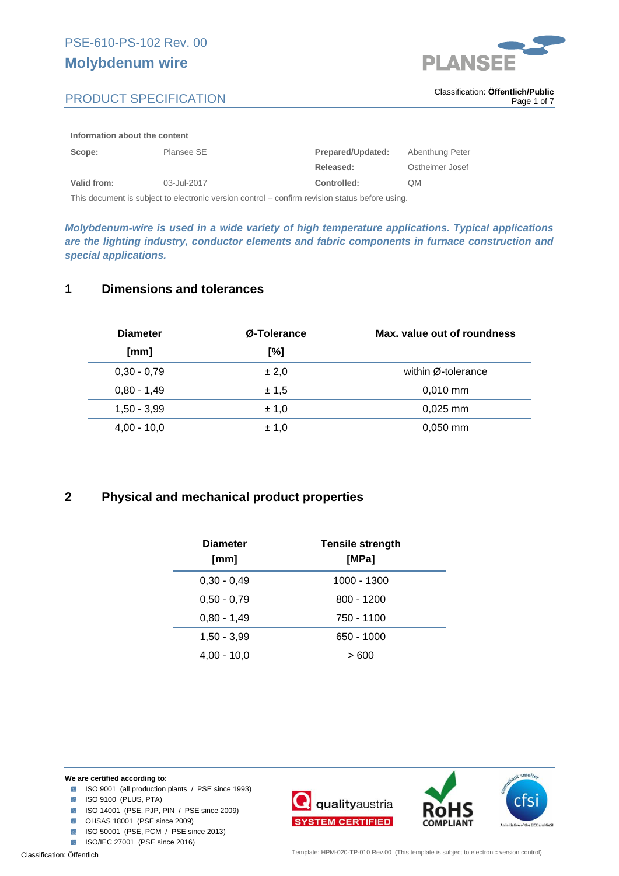



#### **Information about the content**

| Scope:      | Plansee SE  | Prepared/Updated: | Abenthung Peter |
|-------------|-------------|-------------------|-----------------|
|             |             | Released:         | Ostheimer Josef |
| Valid from: | 03-Jul-2017 | Controlled:       | QM              |

This document is subject to electronic version control – confirm revision status before using.

*Molybdenum-wire is used in a wide variety of high temperature applications. Typical applications are the lighting industry, conductor elements and fabric components in furnace construction and special applications.*

### **1 Dimensions and tolerances**

| <b>Diameter</b> | Ø-Tolerance | Max, value out of roundness |
|-----------------|-------------|-----------------------------|
| [mm]            | [%]         |                             |
| $0,30 - 0,79$   | ± 2,0       | within Ø-tolerance          |
| $0,80 - 1,49$   | ± 1,5       | $0.010$ mm                  |
| $1,50 - 3,99$   | ± 1,0       | $0.025$ mm                  |
| $4.00 - 10.0$   | ± 1.0       | $0.050$ mm                  |

## **2 Physical and mechanical product properties**

| <b>Diameter</b><br>[mm] | <b>Tensile strength</b><br>[MPa] |
|-------------------------|----------------------------------|
| $0,30 - 0,49$           | 1000 - 1300                      |
| $0.50 - 0.79$           | $800 - 1200$                     |
| $0,80 - 1,49$           | 750 - 1100                       |
| 1,50 - 3,99             | 650 - 1000                       |
| $4.00 - 10.0$           | > 600                            |



- ISO 9001 (all production plants / PSE since 1993)
- **ISO 9100 (PLUS, PTA)**
- ISO 14001 (PSE, PJP, PIN / PSE since 2009)
- **8** OHSAS 18001 (PSE since 2009)
- **ISO 50001 (PSE, PCM / PSE since 2013)**
- **ISO/IEC 27001 (PSE since 2016)**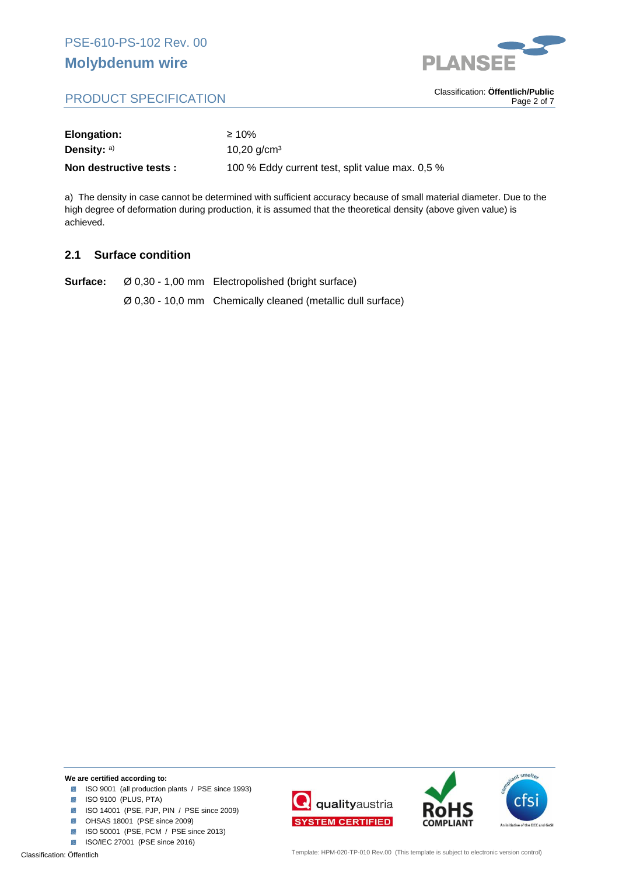

# PRODUCT SPECIFICATION

. Classification: **Öffentlich/Public** Page 2 of 7

| Elongation:             | $\geq 10\%$                                     |
|-------------------------|-------------------------------------------------|
| Density: $a)$           | 10,20 $q/cm3$                                   |
| Non destructive tests : | 100 % Eddy current test, split value max. 0,5 % |

a) The density in case cannot be determined with sufficient accuracy because of small material diameter. Due to the high degree of deformation during production, it is assumed that the theoretical density (above given value) is achieved.

## **2.1 Surface condition**

**Surface:** Ø 0,30 - 1,00 mm Electropolished (bright surface) Ø 0,30 - 10,0 mm Chemically cleaned (metallic dull surface)

#### **We are certified according to:**

- ISO 9001 (all production plants / PSE since 1993)
- **ISO 9100 (PLUS, PTA)**
- ISO 14001 (PSE, PJP, PIN / PSE since 2009)
- **OHSAS 18001** (PSE since 2009)
- **ISO 50001 (PSE, PCM / PSE since 2013)**
- ISO/IEC 27001 (PSE since 2016)





smelte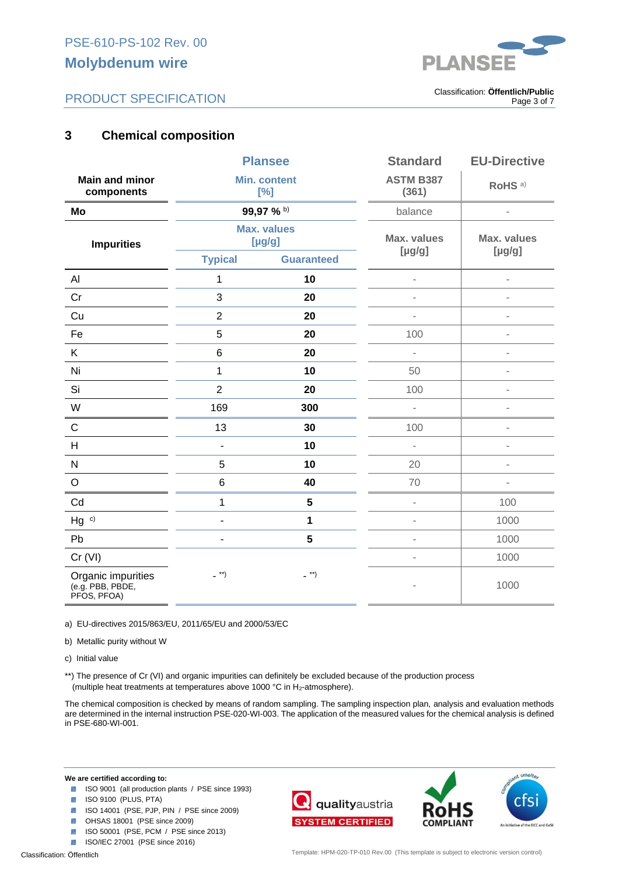



. Classification: **Öffentlich/Public** Page 3 of 7

# **3 Chemical composition**

|                                                       | <b>Plansee</b>                |                    | <b>Standard</b>                   | <b>EU-Directive</b>      |
|-------------------------------------------------------|-------------------------------|--------------------|-----------------------------------|--------------------------|
| <b>Main and minor</b><br>components                   | <b>Min. content</b><br>[%]    |                    | <b>ASTM B387</b><br>(361)         | RoHS <sup>a)</sup>       |
| Mo                                                    | 99,97 % b)                    |                    | balance                           | $\blacksquare$           |
| <b>Impurities</b>                                     | <b>Max. values</b><br>[µg/g]  |                    | <b>Max. values</b><br>$[\mu g/g]$ | Max. values<br>[µg/g]    |
|                                                       | <b>Typical</b>                | <b>Guaranteed</b>  |                                   |                          |
| AI                                                    | 1                             | 10                 | i.                                | $\bar{a}$                |
| Cr                                                    | 3                             | 20                 | ä,                                | ä,                       |
| Cu                                                    | $\overline{2}$                | 20                 | $\overline{a}$                    | $\overline{a}$           |
| Fe                                                    | $\overline{5}$                | 20                 | 100                               | $\overline{a}$           |
| K                                                     | 6                             | 20                 | L,                                | $\overline{a}$           |
| Ni                                                    | $\mathbf{1}$                  | 10                 | 50                                | $\overline{\phantom{a}}$ |
| Si                                                    | $\overline{2}$                | 20                 | 100                               |                          |
| W                                                     | 169                           | 300                | L,                                | i.                       |
| $\mathsf C$                                           | 13                            | 30                 | 100                               | $\bar{a}$                |
| H                                                     | $\overline{\phantom{0}}$      | 10                 | $\overline{\phantom{a}}$          | $\blacksquare$           |
| $\mathsf{N}$                                          | 5                             | 10                 | 20                                | $\blacksquare$           |
| $\circ$                                               | 6                             | 40                 | 70                                | $\bar{a}$                |
| Cd                                                    | 1                             | $5\phantom{.0}$    | $\overline{\phantom{a}}$          | 100                      |
| $Hg$ c)                                               | $\overline{a}$                | 1                  | ä,                                | 1000                     |
| Pb                                                    | $\blacksquare$                | $5\phantom{a}$     | ä,                                | 1000                     |
| Cr (VI)                                               |                               |                    | $\overline{\phantom{a}}$          | 1000                     |
| Organic impurities<br>(e.g. PBB, PBDE,<br>PFOS, PFOA) | $\overline{\phantom{a}}^{**}$ | $\overline{a}$ **) | ÷                                 | 1000                     |

a) EU-directives 2015/863/EU, 2011/65/EU and 2000/53/EC

b) Metallic purity without W

c) Initial value

\*\*) The presence of Cr (VI) and organic impurities can definitely be excluded because of the production process (multiple heat treatments at temperatures above 1000 °C in  $H_2$ -atmosphere).

The chemical composition is checked by means of random sampling. The sampling inspection plan, analysis and evaluation methods are determined in the internal instruction PSE-020-WI-003. The application of the measured values for the chemical analysis is defined in PSE-680-WI-001.

- ISO 9001 (all production plants / PSE since 1993)
- **ISO 9100 (PLUS, PTA)**
- ISO 14001 (PSE, PJP, PIN / PSE since 2009)
- **8** OHSAS 18001 (PSE since 2009)
- **ISO 50001 (PSE, PCM / PSE since 2013)**
- **ISO/IEC 27001 (PSE since 2016)**

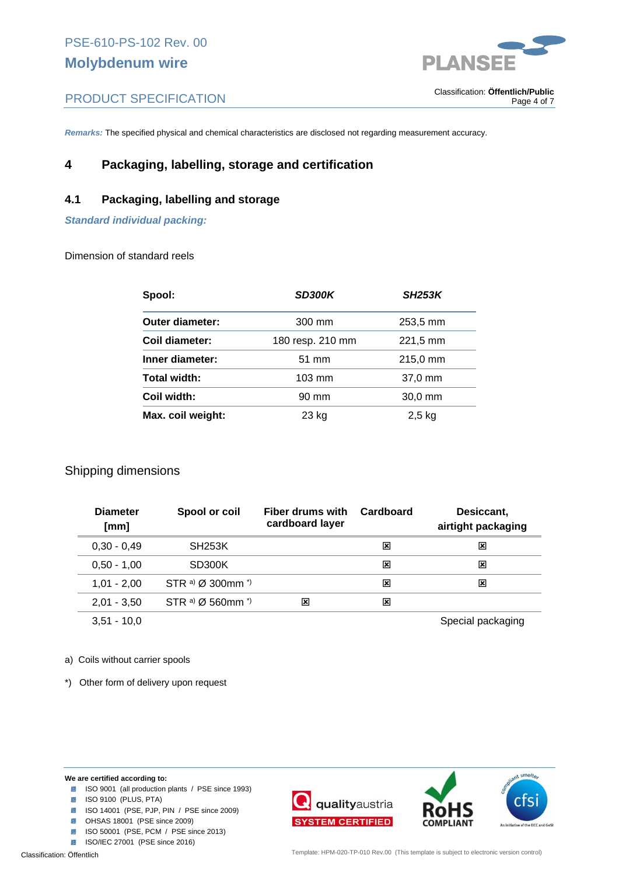

. Classification: **Öffentlich/Public**

Page 4 of 7

# PRODUCT SPECIFICATION

*Remarks:* The specified physical and chemical characteristics are disclosed not regarding measurement accuracy.

# **4 Packaging, labelling, storage and certification**

## **4.1 Packaging, labelling and storage**

*Standard individual packing:* 

Dimension of standard reels

| Spool:                 | <b>SD300K</b>    | <b>SH253K</b> |
|------------------------|------------------|---------------|
| <b>Outer diameter:</b> | 300 mm           | 253,5 mm      |
| Coil diameter:         | 180 resp. 210 mm | 221,5 mm      |
| Inner diameter:        | $51 \text{ mm}$  | 215,0 mm      |
| <b>Total width:</b>    | $103 \text{ mm}$ | 37,0 mm       |
| Coil width:            | 90 mm            | $30,0$ mm     |
| Max. coil weight:      | 23 kg            | $2,5$ kg      |

## Shipping dimensions

| <b>Diameter</b><br>[mm] | Spool or coil                           | Fiber drums with<br>cardboard layer | Cardboard | Desiccant,<br>airtight packaging |
|-------------------------|-----------------------------------------|-------------------------------------|-----------|----------------------------------|
| $0,30 - 0,49$           | <b>SH253K</b>                           |                                     | ⊠         | ⊠                                |
| $0.50 - 1.00$           | SD300K                                  |                                     | ⊠         | ⊠                                |
| $1.01 - 2.00$           | STR a) $\varnothing$ 300mm <sup>*</sup> |                                     | ⊠         | x                                |
| $2,01 - 3,50$           | STR a) $\varnothing$ 560mm $\gamma$     | x                                   | x         |                                  |
| $3,51 - 10,0$           |                                         |                                     |           | Special packaging                |

#### a) Coils without carrier spools

\*) Other form of delivery upon request

- ISO 9001 (all production plants / PSE since 1993)
- **ISO 9100 (PLUS, PTA)**
- ISO 14001 (PSE, PJP, PIN / PSE since 2009)
- **OHSAS 18001** (PSE since 2009)
- **ISO 50001 (PSE, PCM / PSE since 2013)**
- **ISO/IEC 27001 (PSE since 2016)**



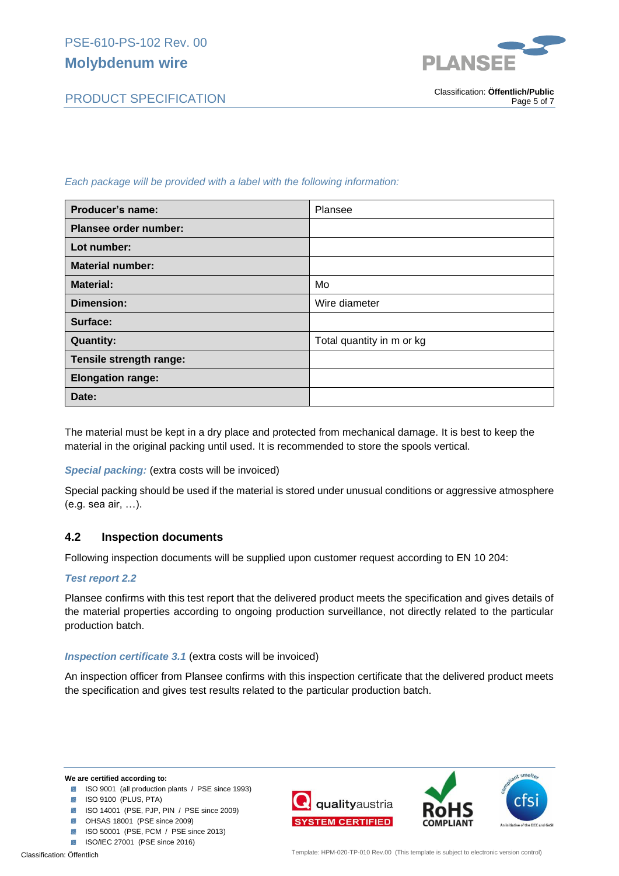*Each package will be provided with a label with the following information:*

| <b>Producer's name:</b>  | Plansee                   |
|--------------------------|---------------------------|
| Plansee order number:    |                           |
| Lot number:              |                           |
| <b>Material number:</b>  |                           |
| <b>Material:</b>         | Mo                        |
| <b>Dimension:</b>        | Wire diameter             |
| Surface:                 |                           |
| <b>Quantity:</b>         | Total quantity in m or kg |
| Tensile strength range:  |                           |
| <b>Elongation range:</b> |                           |
| Date:                    |                           |

The material must be kept in a dry place and protected from mechanical damage. It is best to keep the material in the original packing until used. It is recommended to store the spools vertical.

## *Special packing:* (extra costs will be invoiced)

Special packing should be used if the material is stored under unusual conditions or aggressive atmosphere (e.g. sea air, …).

## **4.2 Inspection documents**

Following inspection documents will be supplied upon customer request according to EN 10 204:

## *Test report 2.2*

Plansee confirms with this test report that the delivered product meets the specification and gives details of the material properties according to ongoing production surveillance, not directly related to the particular production batch.

### *Inspection certificate 3.1* (extra costs will be invoiced)

An inspection officer from Plansee confirms with this inspection certificate that the delivered product meets the specification and gives test results related to the particular production batch.

- **ISO 9001** (all production plants / PSE since 1993)
- **ISO 9100 (PLUS, PTA)**
- ISO 14001 (PSE, PJP, PIN / PSE since 2009)
- **8** OHSAS 18001 (PSE since 2009)
- **ISO 50001 (PSE, PCM / PSE since 2013)**
- **ISO/IEC 27001 (PSE since 2016)**



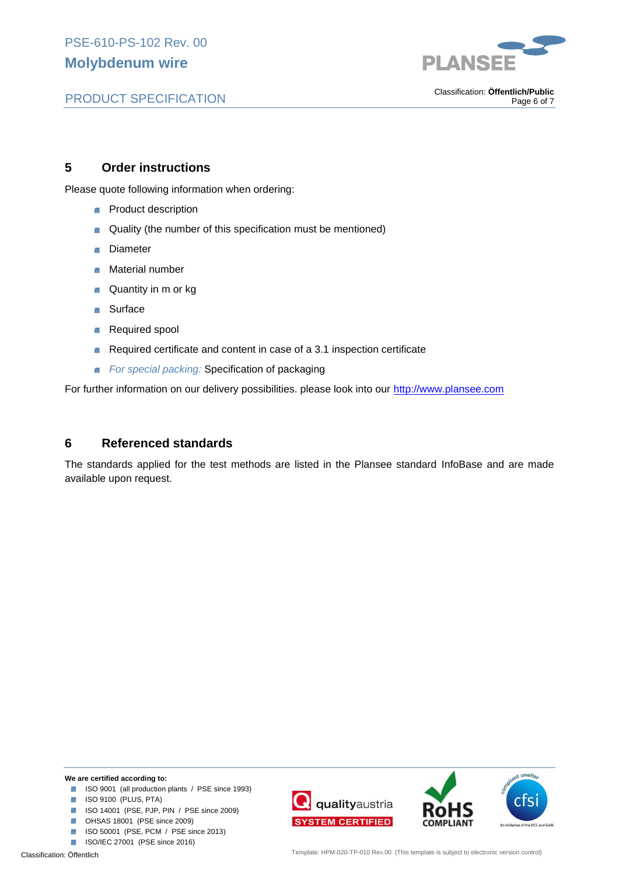

# PRODUCT SPECIFICATION

. Classification: **Öffentlich/Public** Page 6 of 7

## **5 Order instructions**

Please quote following information when ordering:

- **Product description**
- Quality (the number of this specification must be mentioned) Β
- Diameter **Base**
- Material number Ì.
- Quantity in m or kg 図
- **Surface** 蹊
- Required spool ĺх.
- Required certificate and content in case of a 3.1 inspection certificate 霱
- *For special packing:* Specification of packaging

For further information on our delivery possibilities. please look into our http://www.plansee.com

## **6 Referenced standards**

The standards applied for the test methods are listed in the Plansee standard InfoBase and are made available upon request.

- ISO 9001 (all production plants / PSE since 1993)
- **ISO 9100 (PLUS, PTA)**
- ISO 14001 (PSE, PJP, PIN / PSE since 2009)
- **8** OHSAS 18001 (PSE since 2009)
- **ISO 50001 (PSE, PCM / PSE since 2013)**
- **ISO/IEC 27001 (PSE since 2016)**